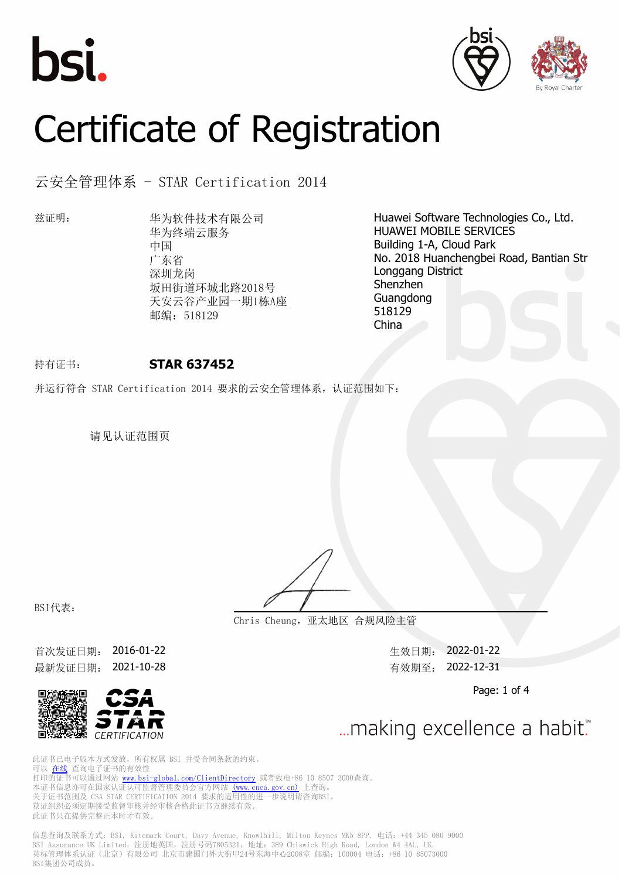





# Certificate of Registration

# 云安全管理体系 - STAR Certification 2014

兹证明: 华为软件技术有限公司 华为终端云服务 中国 广东省 深圳龙岗 坂田街道环城北路2018号 天安云谷产业园一期1栋A座 邮编: 518129

Huawei Software Technologies Co., Ltd. HUAWEI MOBILE SERVICES Building 1-A, Cloud Park No. 2018 Huanchengbei Road, Bantian Str Longgang District Shenzhen Guangdong 518129 China

# 持有证书: **STAR 637452**

并运行符合 STAR Certification 2014 要求的云安全管理体系,认证范围如下:

请见认证范围页

BSI代表:

**Chris Cheung,亚太地区 合规风险主管**

首次发证日期: 2016-01-22 生效日期: 2022-01-22 最新发证日期: 2021-10-28 有效期至: 2022-12-31



... making excellence a habit."

Page: 1 of 4

此证书已电子版本方式发放,所有权属 BSI 并受合同条款的约束。 可以 [在线](https://pgplus.bsigroup.com/CertificateValidation/CertificateValidator.aspx?CertificateNumber=STAR+637452&ReIssueDate=28%2f10%2f2021&Template=cn) 查询电子证书的有效性 打印的证书可以通过网站 <www.bsi-global.com/ClientDirectory>或者致电+86 10 8507 3000查询。 本证书信息亦可在国家认证认可监督管理委员会官方网站 [\(www.cnca.gov.cn\)](www.cnca.gov.cn) 上查询。 关于证书范围及 CSA STAR CERTIFICATION 2014 要求的适用性的进一步说明请咨询BSI。 获证组织必须定期接受监督审核并经审核合格此证书方继续有效。 此证书只在提供完整正本时才有效。

信息查询及联系方式: BSI, Kitemark Court, Davy Avenue, Knowlhill, Milton Keynes MK5 8PP. 电话: +44 345 080 9000 BSI Assurance UK Limited,注册地英国,注册号码7805321,地址:389 Chiswick High Road, London W4 4AL, UK. 英标管理体系认证(北京)有限公司 北京市建国门外大街甲24号东海中心2008室 邮编: 100004 电话: +86 10 85073000 BSI集团公司成员。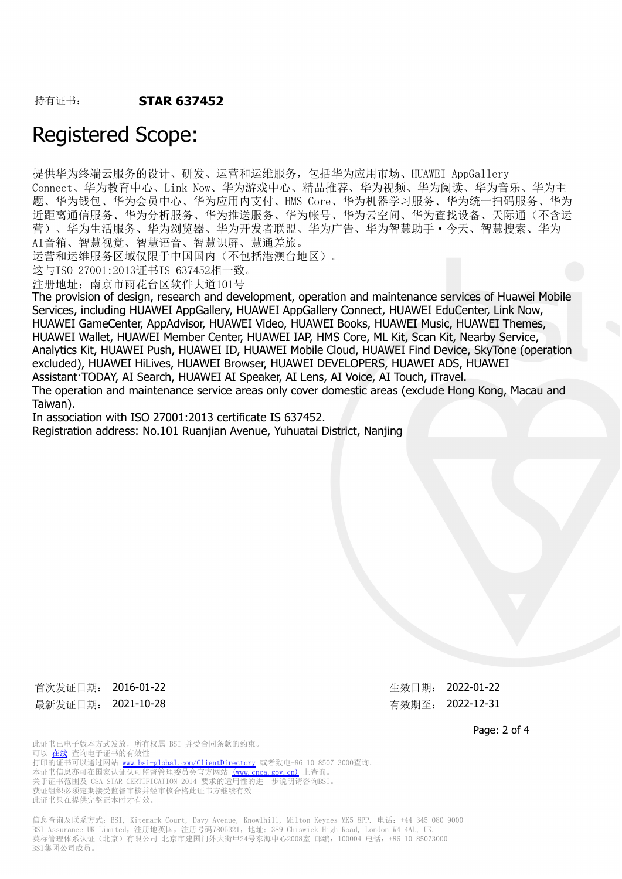# Registered Scope:

提供华为终端云服务的设计、研发、运营和运维服务,包括华为应用市场、HUAWEI AppGallery Connect、华为教育中心、Link Now、华为游戏中心、精品推荐、华为视频、华为阅读、华为音乐、华为主 题、华为钱包、华为会员中心、华为应用内支付、HMS Core、华为机器学习服务、华为统一扫码服务、华为 近距离通信服务、华为分析服务、华为推送服务、华为帐号、华为云空间、华为查找设备、天际通(不含运 营)、华为生活服务、华为浏览器、华为开发者联盟、华为广告、华为智慧助手·今天、智慧搜索、华为 AI音箱、智慧视觉、智慧语音、智慧识屏、慧通差旅。

运营和运维服务区域仅限于中国国内(不包括港澳台地区)。

这与ISO 27001:2013证书IS 637452相一致。

注册地址:南京市雨花台区软件大道101号

The provision of design, research and development, operation and maintenance services of Huawei Mobile Services, including HUAWEI AppGallery, HUAWEI AppGallery Connect, HUAWEI EduCenter, Link Now, HUAWEI GameCenter, AppAdvisor, HUAWEI Video, HUAWEI Books, HUAWEI Music, HUAWEI Themes, HUAWEI Wallet, HUAWEI Member Center, HUAWEI IAP, HMS Core, ML Kit, Scan Kit, Nearby Service, Analytics Kit, HUAWEI Push, HUAWEI ID, HUAWEI Mobile Cloud, HUAWEI Find Device, SkyTone (operation excluded), HUAWEI HiLives, HUAWEI Browser, HUAWEI DEVELOPERS, HUAWEI ADS, HUAWEI Assistant·TODAY, AI Search, HUAWEI AI Speaker, AI Lens, AI Voice, AI Touch, iTravel. The operation and maintenance service areas only cover domestic areas (exclude Hong Kong, Macau and Taiwan).

In association with ISO 27001:2013 certificate IS 637452.

Registration address: No.101 Ruanjian Avenue, Yuhuatai District, Nanjing

首次发证日期: 2016-01-22 <br> **The Second Automobile 2022-01-22** 最新发证日期: 2021-10-28 市场 第一次 第一次 有效期至: 2022-12-31

Page: 2 of 4

此证书已电子版本方式发放,所有权属 BSI 并受合同条款的约束。 可以 [在线](https://pgplus.bsigroup.com/CertificateValidation/CertificateValidator.aspx?CertificateNumber=STAR+637452&ReIssueDate=28%2f10%2f2021&Template=cn) 查询电子证书的有效性 打印的证书可以通过网站 <www.bsi-global.com/ClientDirectory>或者致电+86 10 8507 3000查询。 本证书信息亦可在国家认证认可监督管理委员会官方网站 [\(www.cnca.gov.cn\)](www.cnca.gov.cn) 上查询。 关于证书范围及 CSA STAR CERTIFICATION 2014 要求的适用性的进一步说明请咨询BSI。 获证组织必须定期接受监督审核并经审核合格此证书方继续有效。 此证书只在提供完整正本时才有效。

信息查询及联系方式:BSI, Kitemark Court, Davy Avenue, Knowlhill, Milton Keynes MK5 8PP. 电话:+44 345 080 9000 BSI Assurance UK Limited,注册地英国,注册号码7805321,地址:389 Chiswick High Road, London W4 4AL, UK. 英标管理体系认证(北京)有限公司 北京市建国门外大街甲24号东海中心2008室 邮编: 100004 电话: +86 10 85073000 BSI集团公司成员。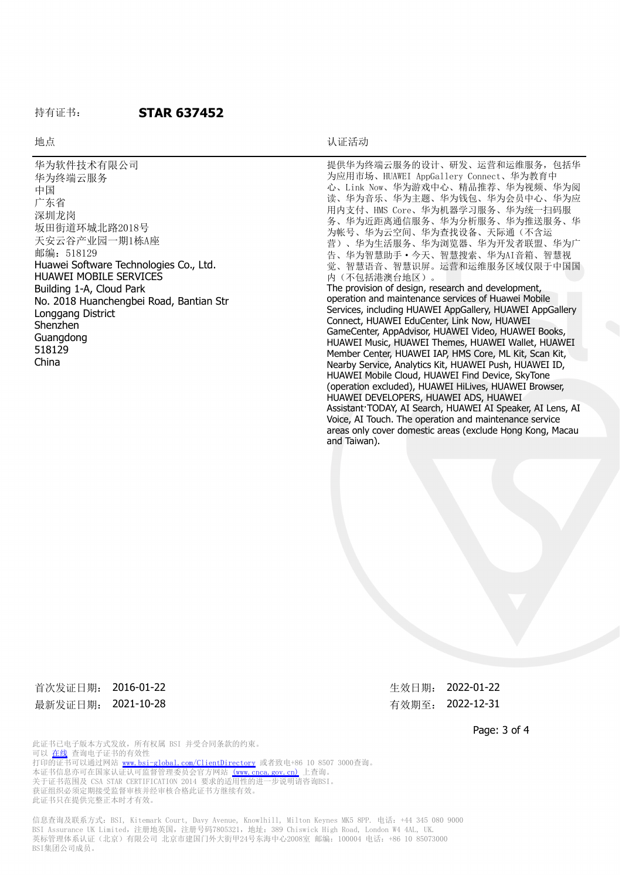### 持有证书: **STAR 637452**

### 地点 おおおところ しょうしょう しゅうしょう おおおおし しんこうしょう しんこうしょう しんしゅう しゅうしょう しんしゅう しんしゅう しんしゅう しんしゅう しんしゅう しんしゅう しんしゅう しんしゅう しんしゅう

and Taiwan).

华为软件技术有限公司 华为终端云服务 中国 广东省 深圳龙岗 坂田街道环城北路2018号 天安云谷产业园一期1栋A座 邮编: 518129 Huawei Software Technologies Co., Ltd. HUAWEI MOBILE SERVICES Building 1-A, Cloud Park No. 2018 Huanchengbei Road, Bantian Str Longgang District Shenzhen Guangdong 518129 China 提供华为终端云服务的设计、研发、运营和运维服务,包括华 为应用市场、HUAWEI AppGallery Connect、华为教育中 心、Link Now、华为游戏中心、精品推荐、华为视频、华为阅 读、华为音乐、华为主题、华为钱包、华为会员中心、华为应 用内支付、HMS Core、华为机器学习服务、华为统一扫码服 务、华为近距离通信服务、华为分析服务、华为推送服务、华 为帐号、华为云空间、华为查找设备、天际通(不含运 营)、华为生活服务、华为浏览器、华为开发者联盟、华为广 告、华为智慧助手·今天、智慧搜索、华为AI音箱、智慧视 觉、智慧语音、智慧识屏。运营和运维服务区域仅限于中国国 内(不包括港澳台地区)。 The provision of design, research and development, operation and maintenance services of Huawei Mobile Services, including HUAWEI AppGallery, HUAWEI AppGallery Connect, HUAWEI EduCenter, Link Now, HUAWEI GameCenter, AppAdvisor, HUAWEI Video, HUAWEI Books, HUAWEI Music, HUAWEI Themes, HUAWEI Wallet, HUAWEI Member Center, HUAWEI IAP, HMS Core, ML Kit, Scan Kit, Nearby Service, Analytics Kit, HUAWEI Push, HUAWEI ID, HUAWEI Mobile Cloud, HUAWEI Find Device, SkyTone (operation excluded), HUAWEI HiLives, HUAWEI Browser, HUAWEI DEVELOPERS, HUAWEI ADS, HUAWEI Assistant·TODAY, AI Search, HUAWEI AI Speaker, AI Lens, AI

首次发证日期: 2016-01-22 <br> **The Second Automobile 2022-01-22** 最新发证日期: 2021-10-28 市场 第一次 第一次 有效期至: 2022-12-31

Voice, AI Touch. The operation and maintenance service areas only cover domestic areas (exclude Hong Kong, Macau

Page: 3 of 4

此证书已电子版本方式发放,所有权属 BSI 并受合同条款的约束。 可以 [在线](https://pgplus.bsigroup.com/CertificateValidation/CertificateValidator.aspx?CertificateNumber=STAR+637452&ReIssueDate=28%2f10%2f2021&Template=cn) 查询电子证书的有效性 打印的证书可以通过网站 <www.bsi-global.com/ClientDirectory>或者致电+86 10 8507 3000查询。 本证书信息亦可在国家认证认可监督管理委员会官方网站 [\(www.cnca.gov.cn\)](www.cnca.gov.cn) 上查询。 关于证书范围及 CSA STAR CERTIFICATION 2014 要求的适用性的进一步说明请咨询BSI。 获证组织必须定期接受监督审核并经审核合格此证书方继续有效。 此证书只在提供完整正本时才有效。

信息查询及联系方式:BSI, Kitemark Court, Davy Avenue, Knowlhill, Milton Keynes MK5 8PP. 电话:+44 345 080 9000 BSI Assurance UK Limited,注册地英国,注册号码7805321,地址:389 Chiswick High Road, London W4 4AL, UK. 英标管理体系认证(北京)有限公司 北京市建国门外大街甲24号东海中心2008室 邮编: 100004 电话: +86 10 85073000 BSI集团公司成员。